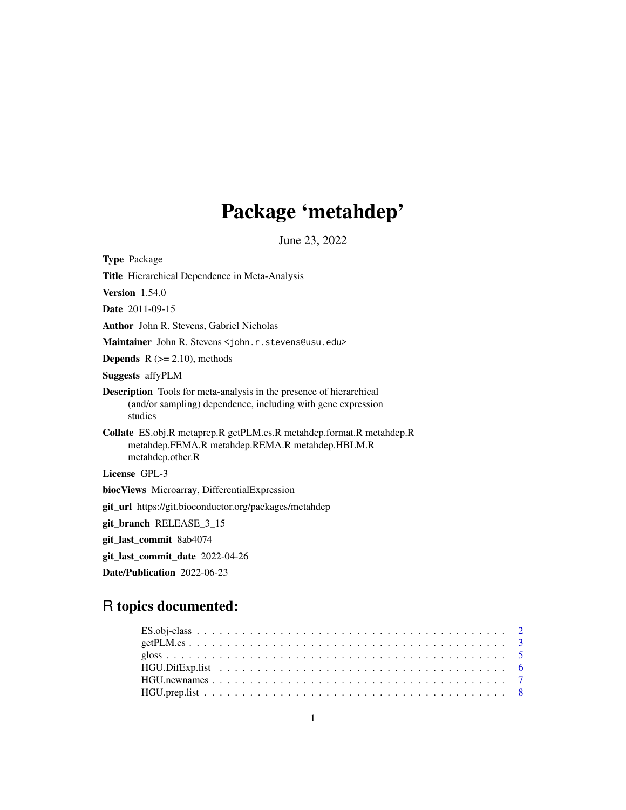# Package 'metahdep'

June 23, 2022

| <b>Type Package</b>                                                                                                                                   |
|-------------------------------------------------------------------------------------------------------------------------------------------------------|
| <b>Title</b> Hierarchical Dependence in Meta-Analysis                                                                                                 |
| Version $1.54.0$                                                                                                                                      |
| Date 2011-09-15                                                                                                                                       |
| <b>Author</b> John R. Stevens, Gabriel Nicholas                                                                                                       |
| Maintainer John R. Stevens < john. r. stevens@usu. edu>                                                                                               |
| <b>Depends</b> $R$ ( $>= 2.10$ ), methods                                                                                                             |
| <b>Suggests</b> affyPLM                                                                                                                               |
| <b>Description</b> Tools for meta-analysis in the presence of hierarchical<br>(and/or sampling) dependence, including with gene expression<br>studies |
| Collate ES.obj.R metaprep.R getPLM.es.R metahdep.format.R metahdep.R<br>metahdep.FEMA.R metahdep.REMA.R metahdep.HBLM.R<br>metahdep.other.R           |
| License GPL-3                                                                                                                                         |
| biocViews Microarray, DifferentialExpression                                                                                                          |
| <b>git_url</b> https://git.bioconductor.org/packages/metahdep                                                                                         |
| git_branch RELEASE_3_15                                                                                                                               |
| git_last_commit 8ab4074                                                                                                                               |
| git_last_commit_date 2022-04-26                                                                                                                       |
| Date/Publication 2022-06-23                                                                                                                           |
|                                                                                                                                                       |

## R topics documented: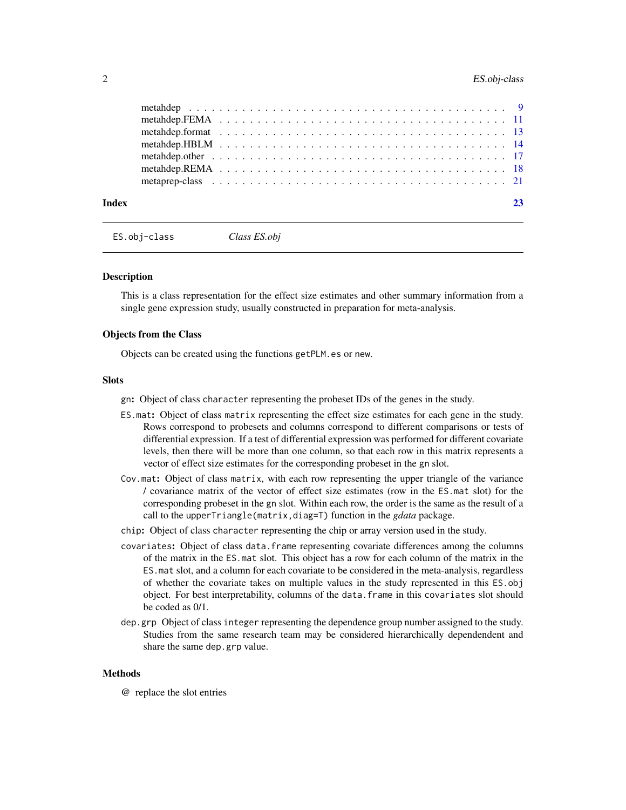<span id="page-1-0"></span>

| Index | 23 |
|-------|----|
|       |    |
|       |    |
|       |    |
|       |    |
|       |    |
|       |    |
|       |    |

ES.obj-class *Class ES.obj*

#### **Description**

This is a class representation for the effect size estimates and other summary information from a single gene expression study, usually constructed in preparation for meta-analysis.

#### Objects from the Class

Objects can be created using the functions getPLM.es or new.

#### Slots

- gn: Object of class character representing the probeset IDs of the genes in the study.
- ES.mat: Object of class matrix representing the effect size estimates for each gene in the study. Rows correspond to probesets and columns correspond to different comparisons or tests of differential expression. If a test of differential expression was performed for different covariate levels, then there will be more than one column, so that each row in this matrix represents a vector of effect size estimates for the corresponding probeset in the gn slot.
- Cov.mat: Object of class matrix, with each row representing the upper triangle of the variance / covariance matrix of the vector of effect size estimates (row in the ES.mat slot) for the corresponding probeset in the gn slot. Within each row, the order is the same as the result of a call to the upperTriangle(matrix,diag=T) function in the *gdata* package.
- chip: Object of class character representing the chip or array version used in the study.
- covariates: Object of class data.frame representing covariate differences among the columns of the matrix in the ES.mat slot. This object has a row for each column of the matrix in the ES.mat slot, and a column for each covariate to be considered in the meta-analysis, regardless of whether the covariate takes on multiple values in the study represented in this ES.obj object. For best interpretability, columns of the data.frame in this covariates slot should be coded as 0/1.
- dep.grp Object of class integer representing the dependence group number assigned to the study. Studies from the same research team may be considered hierarchically dependendent and share the same dep.grp value.

#### Methods

@ replace the slot entries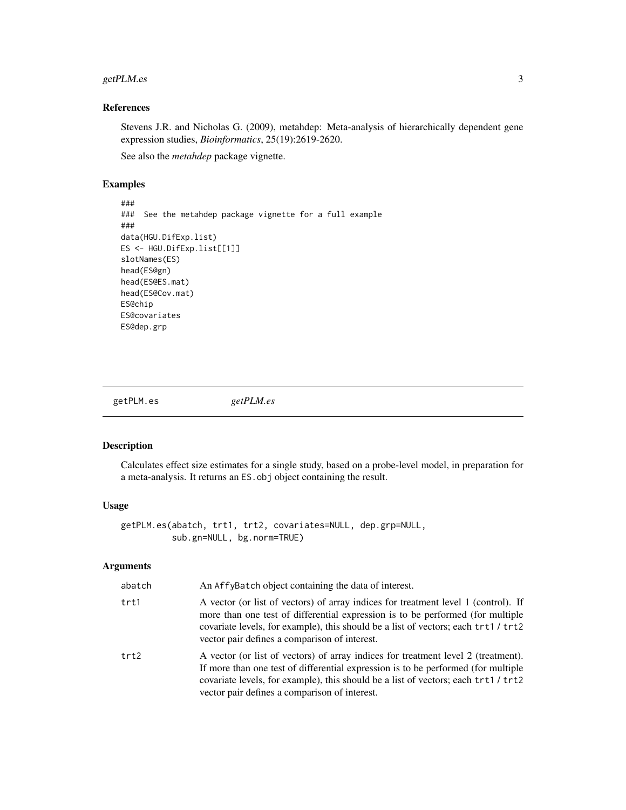#### <span id="page-2-0"></span>getPLM.es 3

#### References

Stevens J.R. and Nicholas G. (2009), metahdep: Meta-analysis of hierarchically dependent gene expression studies, *Bioinformatics*, 25(19):2619-2620.

See also the *metahdep* package vignette.

#### Examples

### ### See the metahdep package vignette for a full example ### data(HGU.DifExp.list) ES <- HGU.DifExp.list[[1]] slotNames(ES) head(ES@gn) head(ES@ES.mat) head(ES@Cov.mat) ES@chip ES@covariates ES@dep.grp

getPLM.es *getPLM.es*

#### Description

Calculates effect size estimates for a single study, based on a probe-level model, in preparation for a meta-analysis. It returns an ES.obj object containing the result.

#### Usage

getPLM.es(abatch, trt1, trt2, covariates=NULL, dep.grp=NULL, sub.gn=NULL, bg.norm=TRUE)

#### Arguments

| abatch | An AffyBatch object containing the data of interest.                                                                                                                                                                                                                                                          |
|--------|---------------------------------------------------------------------------------------------------------------------------------------------------------------------------------------------------------------------------------------------------------------------------------------------------------------|
| trt1   | A vector (or list of vectors) of array indices for treatment level 1 (control). If<br>more than one test of differential expression is to be performed (for multiple<br>covariate levels, for example), this should be a list of vectors; each trt1 / trt2<br>vector pair defines a comparison of interest.   |
| trt2   | A vector (or list of vectors) of array indices for treatment level 2 (treatment).<br>If more than one test of differential expression is to be performed (for multiple<br>covariate levels, for example), this should be a list of vectors; each trt1 / trt2<br>vector pair defines a comparison of interest. |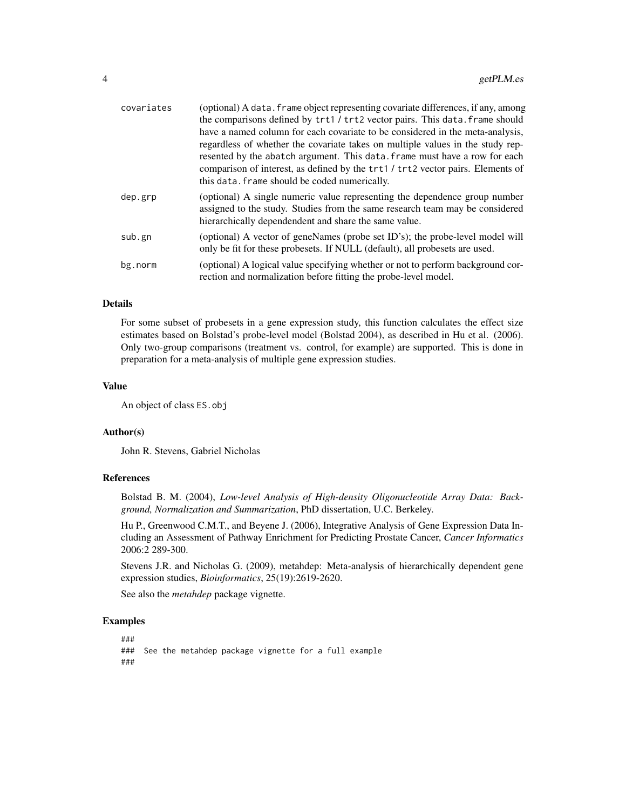| covariates | (optional) A data. frame object representing covariate differences, if any, among<br>the comparisons defined by trt1 / trt2 vector pairs. This data. frame should                                                                                                                                                                                                                 |
|------------|-----------------------------------------------------------------------------------------------------------------------------------------------------------------------------------------------------------------------------------------------------------------------------------------------------------------------------------------------------------------------------------|
|            | have a named column for each covariate to be considered in the meta-analysis,<br>regardless of whether the covariate takes on multiple values in the study rep-<br>resented by the abatch argument. This data, frame must have a row for each<br>comparison of interest, as defined by the trt1 / trt2 vector pairs. Elements of<br>this data. frame should be coded numerically. |
| dep.grp    | (optional) A single numeric value representing the dependence group number<br>assigned to the study. Studies from the same research team may be considered<br>hierarchically dependendent and share the same value.                                                                                                                                                               |
| sub.gn     | (optional) A vector of geneNames (probe set ID's); the probe-level model will<br>only be fit for these probesets. If NULL (default), all probesets are used.                                                                                                                                                                                                                      |
| bg.norm    | (optional) A logical value specifying whether or not to perform background cor-<br>rection and normalization before fitting the probe-level model.                                                                                                                                                                                                                                |

#### Details

For some subset of probesets in a gene expression study, this function calculates the effect size estimates based on Bolstad's probe-level model (Bolstad 2004), as described in Hu et al. (2006). Only two-group comparisons (treatment vs. control, for example) are supported. This is done in preparation for a meta-analysis of multiple gene expression studies.

#### Value

An object of class ES.obj

#### Author(s)

John R. Stevens, Gabriel Nicholas

#### References

Bolstad B. M. (2004), *Low-level Analysis of High-density Oligonucleotide Array Data: Background, Normalization and Summarization*, PhD dissertation, U.C. Berkeley.

Hu P., Greenwood C.M.T., and Beyene J. (2006), Integrative Analysis of Gene Expression Data Including an Assessment of Pathway Enrichment for Predicting Prostate Cancer, *Cancer Informatics* 2006:2 289-300.

Stevens J.R. and Nicholas G. (2009), metahdep: Meta-analysis of hierarchically dependent gene expression studies, *Bioinformatics*, 25(19):2619-2620.

See also the *metahdep* package vignette.

#### Examples

### ### See the metahdep package vignette for a full example ###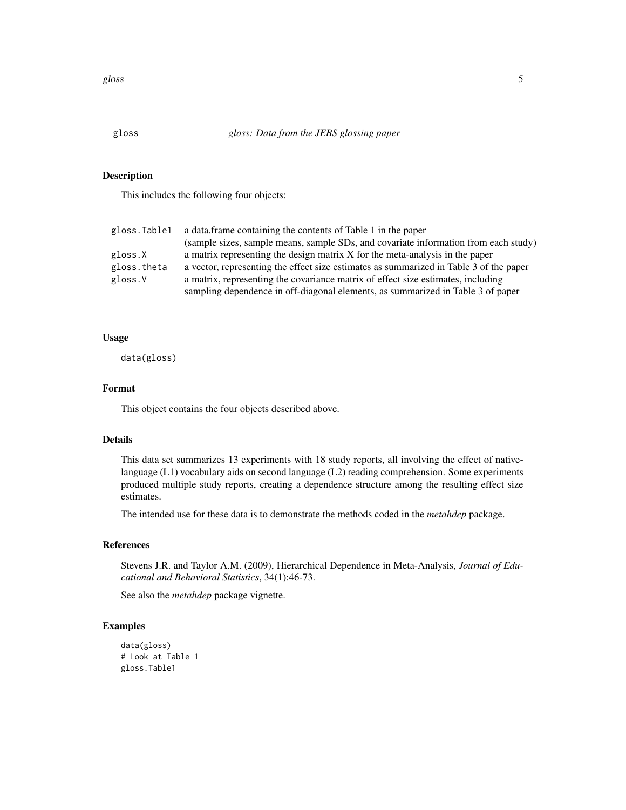<span id="page-4-0"></span>

#### Description

This includes the following four objects:

| gloss.Table1 | a data. frame containing the contents of Table 1 in the paper                          |
|--------------|----------------------------------------------------------------------------------------|
|              | (sample sizes, sample means, sample SDs, and covariate information from each study)    |
| gloss.X      | a matrix representing the design matrix X for the meta-analysis in the paper           |
| gloss.theta  | a vector, representing the effect size estimates as summarized in Table 3 of the paper |
| gloss.V      | a matrix, representing the covariance matrix of effect size estimates, including       |
|              | sampling dependence in off-diagonal elements, as summarized in Table 3 of paper        |

#### Usage

data(gloss)

#### Format

This object contains the four objects described above.

#### Details

This data set summarizes 13 experiments with 18 study reports, all involving the effect of nativelanguage (L1) vocabulary aids on second language (L2) reading comprehension. Some experiments produced multiple study reports, creating a dependence structure among the resulting effect size estimates.

The intended use for these data is to demonstrate the methods coded in the *metahdep* package.

#### References

Stevens J.R. and Taylor A.M. (2009), Hierarchical Dependence in Meta-Analysis, *Journal of Educational and Behavioral Statistics*, 34(1):46-73.

See also the *metahdep* package vignette.

```
data(gloss)
# Look at Table 1
gloss.Table1
```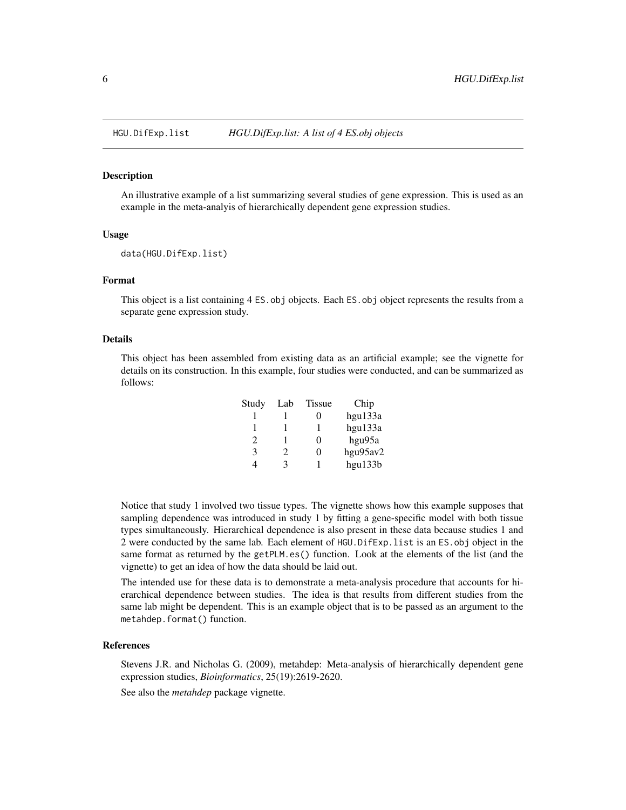<span id="page-5-0"></span>

#### Description

An illustrative example of a list summarizing several studies of gene expression. This is used as an example in the meta-analyis of hierarchically dependent gene expression studies.

#### Usage

```
data(HGU.DifExp.list)
```
#### Format

This object is a list containing 4 ES. obj objects. Each ES. obj object represents the results from a separate gene expression study.

#### Details

This object has been assembled from existing data as an artificial example; see the vignette for details on its construction. In this example, four studies were conducted, and can be summarized as follows:

| Study                       | Lab                         | <b>Tissue</b> | Chip     |
|-----------------------------|-----------------------------|---------------|----------|
|                             |                             | 0             | hgu133a  |
| 1                           |                             | 1             | hgu133a  |
| $\mathcal{D}_{\mathcal{L}}$ |                             | 0             | hgu95a   |
| 3                           | $\mathcal{D}_{\mathcal{L}}$ | 0             | hgu95av2 |
|                             | κ                           |               | hgu133b  |

Notice that study 1 involved two tissue types. The vignette shows how this example supposes that sampling dependence was introduced in study 1 by fitting a gene-specific model with both tissue types simultaneously. Hierarchical dependence is also present in these data because studies 1 and 2 were conducted by the same lab. Each element of HGU.DifExp.list is an ES.obj object in the same format as returned by the getPLM.es() function. Look at the elements of the list (and the vignette) to get an idea of how the data should be laid out.

The intended use for these data is to demonstrate a meta-analysis procedure that accounts for hierarchical dependence between studies. The idea is that results from different studies from the same lab might be dependent. This is an example object that is to be passed as an argument to the metahdep.format() function.

#### References

Stevens J.R. and Nicholas G. (2009), metahdep: Meta-analysis of hierarchically dependent gene expression studies, *Bioinformatics*, 25(19):2619-2620.

See also the *metahdep* package vignette.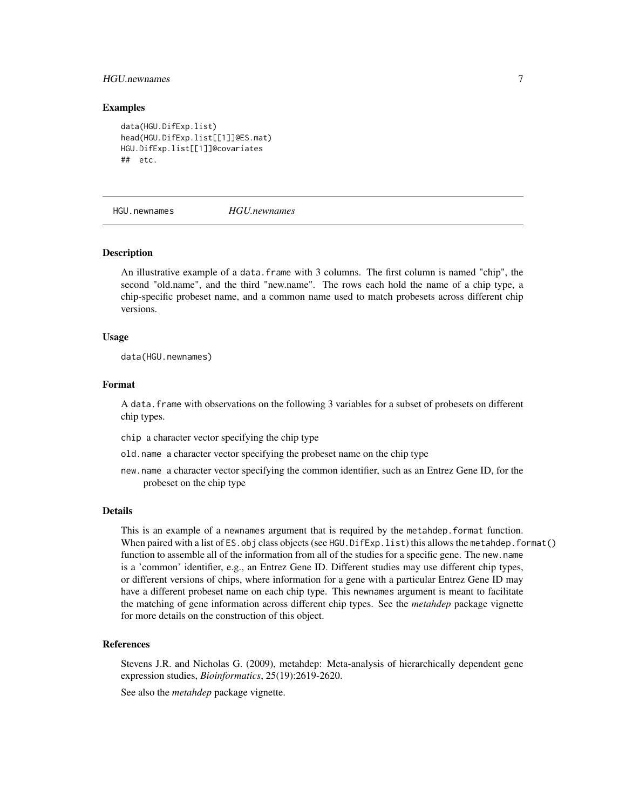#### <span id="page-6-0"></span>HGU.newnames 7

#### Examples

```
data(HGU.DifExp.list)
head(HGU.DifExp.list[[1]]@ES.mat)
HGU.DifExp.list[[1]]@covariates
## etc.
```
HGU.newnames *HGU.newnames*

#### Description

An illustrative example of a data.frame with 3 columns. The first column is named "chip", the second "old.name", and the third "new.name". The rows each hold the name of a chip type, a chip-specific probeset name, and a common name used to match probesets across different chip versions.

#### Usage

data(HGU.newnames)

#### Format

A data.frame with observations on the following 3 variables for a subset of probesets on different chip types.

- chip a character vector specifying the chip type
- old.name a character vector specifying the probeset name on the chip type
- new.name a character vector specifying the common identifier, such as an Entrez Gene ID, for the probeset on the chip type

#### Details

This is an example of a newnames argument that is required by the metahdep.format function. When paired with a list of ES.obj class objects (see HGU.DifExp.list) this allows the metahdep.format() function to assemble all of the information from all of the studies for a specific gene. The new.name is a 'common' identifier, e.g., an Entrez Gene ID. Different studies may use different chip types, or different versions of chips, where information for a gene with a particular Entrez Gene ID may have a different probeset name on each chip type. This newnames argument is meant to facilitate the matching of gene information across different chip types. See the *metahdep* package vignette for more details on the construction of this object.

#### References

Stevens J.R. and Nicholas G. (2009), metahdep: Meta-analysis of hierarchically dependent gene expression studies, *Bioinformatics*, 25(19):2619-2620.

See also the *metahdep* package vignette.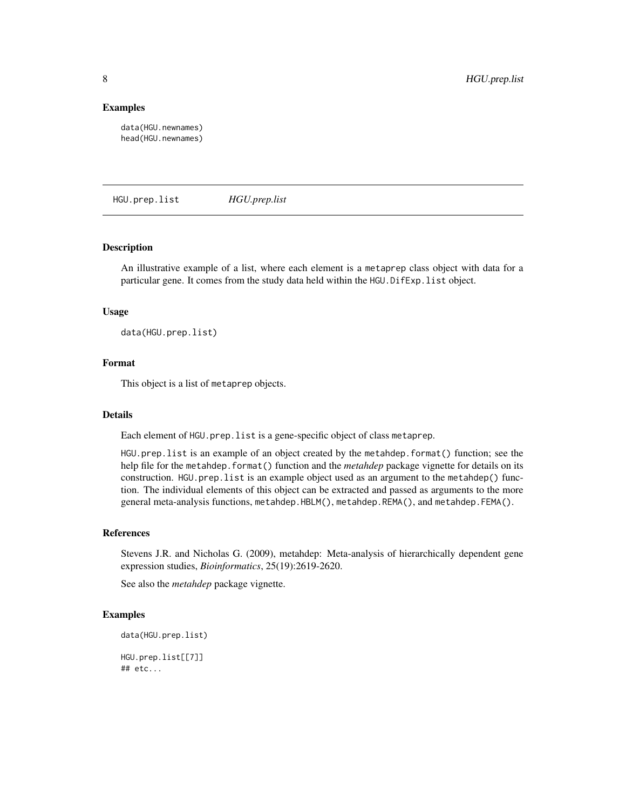#### Examples

data(HGU.newnames) head(HGU.newnames)

HGU.prep.list *HGU.prep.list*

#### Description

An illustrative example of a list, where each element is a metaprep class object with data for a particular gene. It comes from the study data held within the HGU.DifExp.list object.

#### Usage

data(HGU.prep.list)

#### Format

This object is a list of metaprep objects.

#### Details

Each element of HGU.prep.list is a gene-specific object of class metaprep.

HGU.prep.list is an example of an object created by the metahdep.format() function; see the help file for the metahdep.format() function and the *metahdep* package vignette for details on its construction. HGU.prep.list is an example object used as an argument to the metahdep() function. The individual elements of this object can be extracted and passed as arguments to the more general meta-analysis functions, metahdep.HBLM(), metahdep.REMA(), and metahdep.FEMA().

#### References

Stevens J.R. and Nicholas G. (2009), metahdep: Meta-analysis of hierarchically dependent gene expression studies, *Bioinformatics*, 25(19):2619-2620.

See also the *metahdep* package vignette.

#### Examples

```
data(HGU.prep.list)
HGU.prep.list[[7]]
```
## etc...

<span id="page-7-0"></span>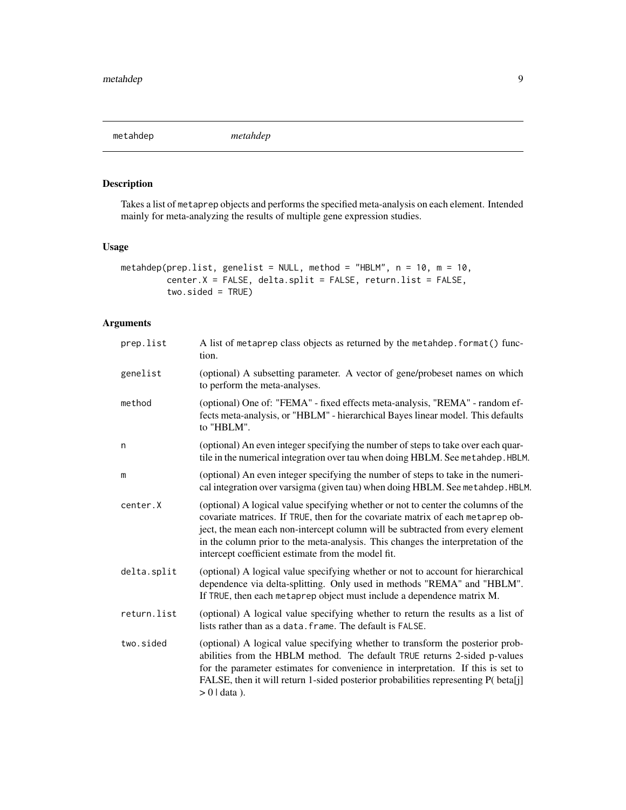<span id="page-8-0"></span>metahdep *metahdep*

#### Description

Takes a list of metaprep objects and performs the specified meta-analysis on each element. Intended mainly for meta-analyzing the results of multiple gene expression studies.

#### Usage

```
metahdep(prep.list, genelist = NULL, method = "HBLM", n = 10, m = 10,
         center.X = FALSE, delta.split = FALSE, return.list = FALSE,
         two.sided = TRUE)
```
#### Arguments

| prep.list   | A list of metaprep class objects as returned by the metahdep. format() func-<br>tion.                                                                                                                                                                                                                                                                                                            |
|-------------|--------------------------------------------------------------------------------------------------------------------------------------------------------------------------------------------------------------------------------------------------------------------------------------------------------------------------------------------------------------------------------------------------|
| genelist    | (optional) A subsetting parameter. A vector of gene/probeset names on which<br>to perform the meta-analyses.                                                                                                                                                                                                                                                                                     |
| method      | (optional) One of: "FEMA" - fixed effects meta-analysis, "REMA" - random ef-<br>fects meta-analysis, or "HBLM" - hierarchical Bayes linear model. This defaults<br>to "HBLM".                                                                                                                                                                                                                    |
| n           | (optional) An even integer specifying the number of steps to take over each quar-<br>tile in the numerical integration over tau when doing HBLM. See metahdep. HBLM.                                                                                                                                                                                                                             |
| m           | (optional) An even integer specifying the number of steps to take in the numeri-<br>cal integration over varsigma (given tau) when doing HBLM. See metahdep. HBLM.                                                                                                                                                                                                                               |
| center.X    | (optional) A logical value specifying whether or not to center the columns of the<br>covariate matrices. If TRUE, then for the covariate matrix of each metaprep ob-<br>ject, the mean each non-intercept column will be subtracted from every element<br>in the column prior to the meta-analysis. This changes the interpretation of the<br>intercept coefficient estimate from the model fit. |
| delta.split | (optional) A logical value specifying whether or not to account for hierarchical<br>dependence via delta-splitting. Only used in methods "REMA" and "HBLM".<br>If TRUE, then each metaprep object must include a dependence matrix M.                                                                                                                                                            |
| return.list | (optional) A logical value specifying whether to return the results as a list of<br>lists rather than as a data. frame. The default is FALSE.                                                                                                                                                                                                                                                    |
| two.sided   | (optional) A logical value specifying whether to transform the posterior prob-<br>abilities from the HBLM method. The default TRUE returns 2-sided p-values<br>for the parameter estimates for convenience in interpretation. If this is set to<br>FALSE, then it will return 1-sided posterior probabilities representing P( beta[j]<br>$> 0$   data).                                          |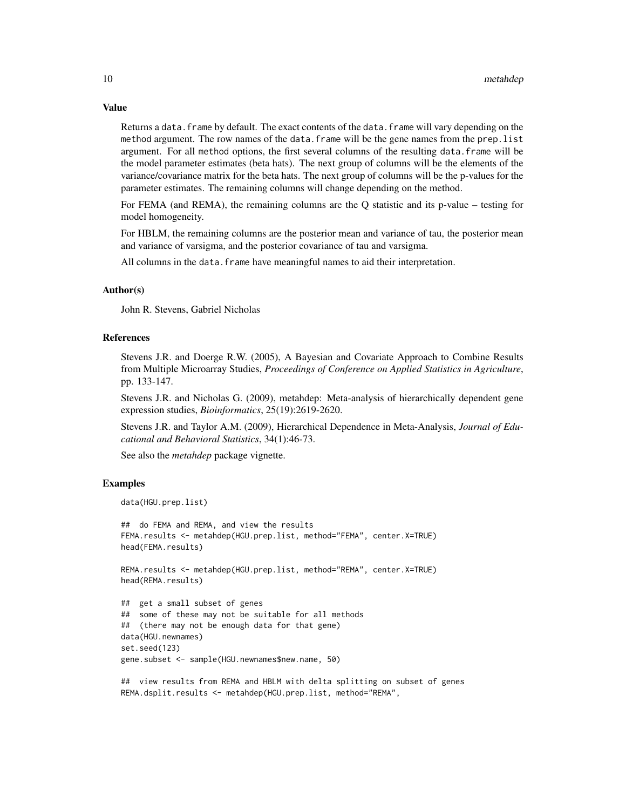Value

Returns a data. frame by default. The exact contents of the data. frame will vary depending on the method argument. The row names of the data.frame will be the gene names from the prep.list argument. For all method options, the first several columns of the resulting data.frame will be the model parameter estimates (beta hats). The next group of columns will be the elements of the variance/covariance matrix for the beta hats. The next group of columns will be the p-values for the parameter estimates. The remaining columns will change depending on the method.

For FEMA (and REMA), the remaining columns are the Q statistic and its p-value – testing for model homogeneity.

For HBLM, the remaining columns are the posterior mean and variance of tau, the posterior mean and variance of varsigma, and the posterior covariance of tau and varsigma.

All columns in the data. frame have meaningful names to aid their interpretation.

#### Author(s)

John R. Stevens, Gabriel Nicholas

#### References

Stevens J.R. and Doerge R.W. (2005), A Bayesian and Covariate Approach to Combine Results from Multiple Microarray Studies, *Proceedings of Conference on Applied Statistics in Agriculture*, pp. 133-147.

Stevens J.R. and Nicholas G. (2009), metahdep: Meta-analysis of hierarchically dependent gene expression studies, *Bioinformatics*, 25(19):2619-2620.

Stevens J.R. and Taylor A.M. (2009), Hierarchical Dependence in Meta-Analysis, *Journal of Educational and Behavioral Statistics*, 34(1):46-73.

See also the *metahdep* package vignette.

```
data(HGU.prep.list)
```

```
## do FEMA and REMA, and view the results
FEMA.results <- metahdep(HGU.prep.list, method="FEMA", center.X=TRUE)
head(FEMA.results)
```

```
REMA.results <- metahdep(HGU.prep.list, method="REMA", center.X=TRUE)
head(REMA.results)
```

```
## get a small subset of genes
## some of these may not be suitable for all methods
## (there may not be enough data for that gene)
data(HGU.newnames)
set.seed(123)
gene.subset <- sample(HGU.newnames$new.name, 50)
```

```
## view results from REMA and HBLM with delta splitting on subset of genes
REMA.dsplit.results <- metahdep(HGU.prep.list, method="REMA",
```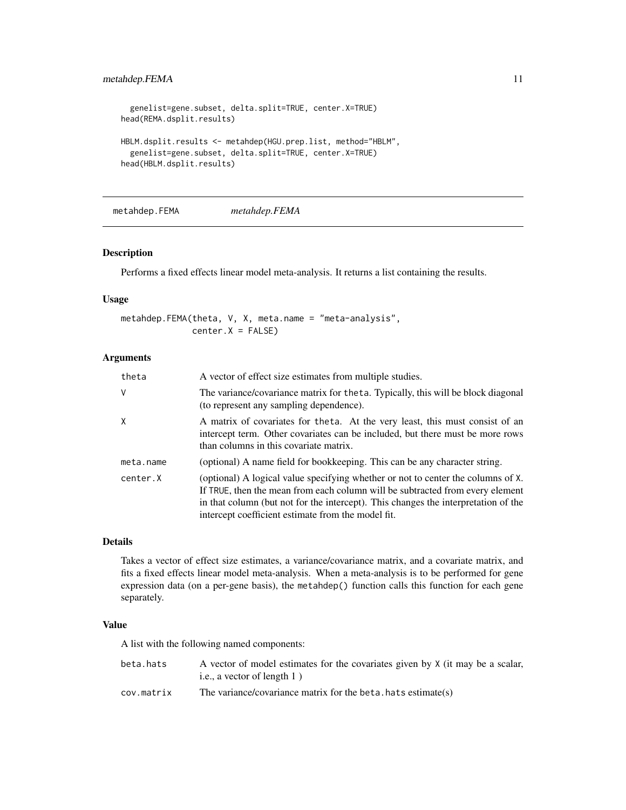#### <span id="page-10-0"></span>metahdep.FEMA 11

```
genelist=gene.subset, delta.split=TRUE, center.X=TRUE)
head(REMA.dsplit.results)
HBLM.dsplit.results <- metahdep(HGU.prep.list, method="HBLM",
 genelist=gene.subset, delta.split=TRUE, center.X=TRUE)
head(HBLM.dsplit.results)
```
metahdep.FEMA *metahdep.FEMA*

#### Description

Performs a fixed effects linear model meta-analysis. It returns a list containing the results.

#### Usage

```
metahdep.FEMA(theta, V, X, meta.name = "meta-analysis",
             center.X = FALSE)
```
#### Arguments

| theta     | A vector of effect size estimates from multiple studies.                                                                                                                                                                                                                                                      |
|-----------|---------------------------------------------------------------------------------------------------------------------------------------------------------------------------------------------------------------------------------------------------------------------------------------------------------------|
| V         | The variance/covariance matrix for the ta. Typically, this will be block diagonal<br>(to represent any sampling dependence).                                                                                                                                                                                  |
| X         | A matrix of covariates for the ta. At the very least, this must consist of an<br>intercept term. Other covariates can be included, but there must be more rows<br>than columns in this covariate matrix.                                                                                                      |
| meta.name | (optional) A name field for bookkeeping. This can be any character string.                                                                                                                                                                                                                                    |
| center.X  | (optional) A logical value specifying whether or not to center the columns of X.<br>If TRUE, then the mean from each column will be subtracted from every element<br>in that column (but not for the intercept). This changes the interpretation of the<br>intercept coefficient estimate from the model fit. |

#### Details

Takes a vector of effect size estimates, a variance/covariance matrix, and a covariate matrix, and fits a fixed effects linear model meta-analysis. When a meta-analysis is to be performed for gene expression data (on a per-gene basis), the metahdep() function calls this function for each gene separately.

#### Value

A list with the following named components:

| beta.hats  | A vector of model estimates for the covariates given by X (it may be a scalar, |
|------------|--------------------------------------------------------------------------------|
|            | i.e., a vector of length $1$ )                                                 |
| cov.matrix | The variance/covariance matrix for the beta, hats estimate(s)                  |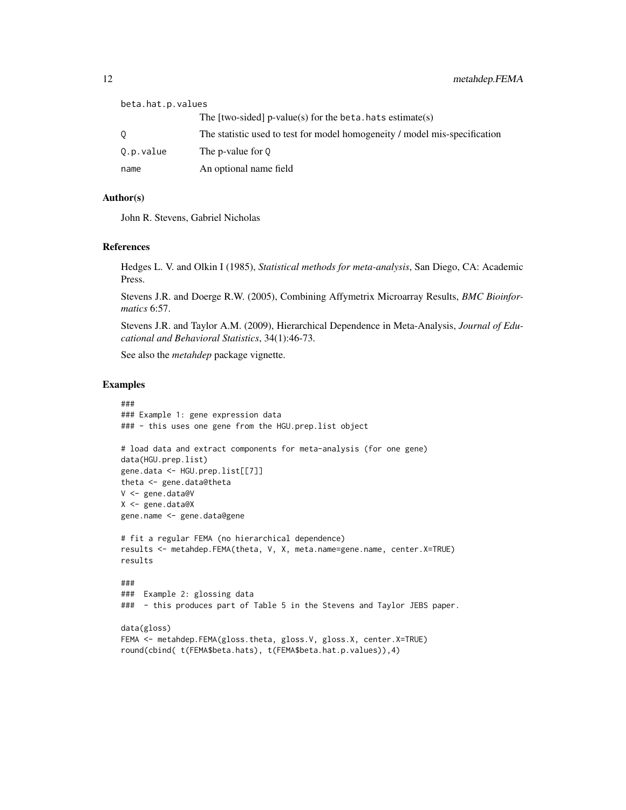| beta.hat.p.values |                                                                            |
|-------------------|----------------------------------------------------------------------------|
|                   | The $[two-sided]$ p-value(s) for the beta. hats estimate(s)                |
|                   | The statistic used to test for model homogeneity / model mis-specification |
| Q.p.value         | The p-value for 0                                                          |
| name              | An optional name field                                                     |

#### Author(s)

John R. Stevens, Gabriel Nicholas

#### References

Hedges L. V. and Olkin I (1985), *Statistical methods for meta-analysis*, San Diego, CA: Academic Press.

Stevens J.R. and Doerge R.W. (2005), Combining Affymetrix Microarray Results, *BMC Bioinformatics* 6:57.

Stevens J.R. and Taylor A.M. (2009), Hierarchical Dependence in Meta-Analysis, *Journal of Educational and Behavioral Statistics*, 34(1):46-73.

See also the *metahdep* package vignette.

```
###
### Example 1: gene expression data
### - this uses one gene from the HGU.prep.list object
# load data and extract components for meta-analysis (for one gene)
data(HGU.prep.list)
gene.data <- HGU.prep.list[[7]]
theta <- gene.data@theta
V <- gene.data@V
X <- gene.data@X
gene.name <- gene.data@gene
# fit a regular FEMA (no hierarchical dependence)
results <- metahdep.FEMA(theta, V, X, meta.name=gene.name, center.X=TRUE)
results
###
### Example 2: glossing data
### - this produces part of Table 5 in the Stevens and Taylor JEBS paper.
data(gloss)
FEMA <- metahdep.FEMA(gloss.theta, gloss.V, gloss.X, center.X=TRUE)
round(cbind( t(FEMA$beta.hats), t(FEMA$beta.hat.p.values)),4)
```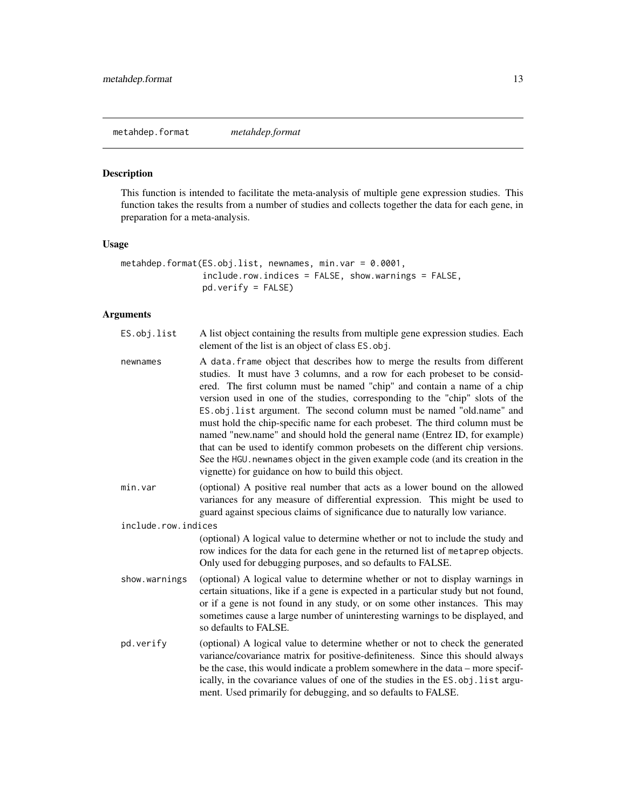<span id="page-12-0"></span>metahdep.format *metahdep.format*

#### Description

This function is intended to facilitate the meta-analysis of multiple gene expression studies. This function takes the results from a number of studies and collects together the data for each gene, in preparation for a meta-analysis.

#### Usage

```
metahdep.format(ES.obj.list, newnames, min.var = 0.0001,
                include.row.indices = FALSE, show.warnings = FALSE,
                pd.verify = FALSE)
```
#### Arguments

| ES.obj.list         | A list object containing the results from multiple gene expression studies. Each<br>element of the list is an object of class ES. obj.                                                                                                                                                                                                                                                                                                                                                                                                                                                                                                                                                                                                                                                 |
|---------------------|----------------------------------------------------------------------------------------------------------------------------------------------------------------------------------------------------------------------------------------------------------------------------------------------------------------------------------------------------------------------------------------------------------------------------------------------------------------------------------------------------------------------------------------------------------------------------------------------------------------------------------------------------------------------------------------------------------------------------------------------------------------------------------------|
| newnames            | A data. frame object that describes how to merge the results from different<br>studies. It must have 3 columns, and a row for each probeset to be consid-<br>ered. The first column must be named "chip" and contain a name of a chip<br>version used in one of the studies, corresponding to the "chip" slots of the<br>ES.obj.list argument. The second column must be named "old.name" and<br>must hold the chip-specific name for each probeset. The third column must be<br>named "new.name" and should hold the general name (Entrez ID, for example)<br>that can be used to identify common probesets on the different chip versions.<br>See the HGU. newnames object in the given example code (and its creation in the<br>vignette) for guidance on how to build this object. |
| min.var             | (optional) A positive real number that acts as a lower bound on the allowed<br>variances for any measure of differential expression. This might be used to<br>guard against specious claims of significance due to naturally low variance.                                                                                                                                                                                                                                                                                                                                                                                                                                                                                                                                             |
| include.row.indices |                                                                                                                                                                                                                                                                                                                                                                                                                                                                                                                                                                                                                                                                                                                                                                                        |
|                     | (optional) A logical value to determine whether or not to include the study and<br>row indices for the data for each gene in the returned list of metaprep objects.<br>Only used for debugging purposes, and so defaults to FALSE.                                                                                                                                                                                                                                                                                                                                                                                                                                                                                                                                                     |
| show.warnings       | (optional) A logical value to determine whether or not to display warnings in<br>certain situations, like if a gene is expected in a particular study but not found,<br>or if a gene is not found in any study, or on some other instances. This may<br>sometimes cause a large number of uninteresting warnings to be displayed, and<br>so defaults to FALSE.                                                                                                                                                                                                                                                                                                                                                                                                                         |
| pd.verify           | (optional) A logical value to determine whether or not to check the generated<br>variance/covariance matrix for positive-definiteness. Since this should always<br>be the case, this would indicate a problem somewhere in the data - more specif-<br>ically, in the covariance values of one of the studies in the ES. obj. list argu-<br>ment. Used primarily for debugging, and so defaults to FALSE.                                                                                                                                                                                                                                                                                                                                                                               |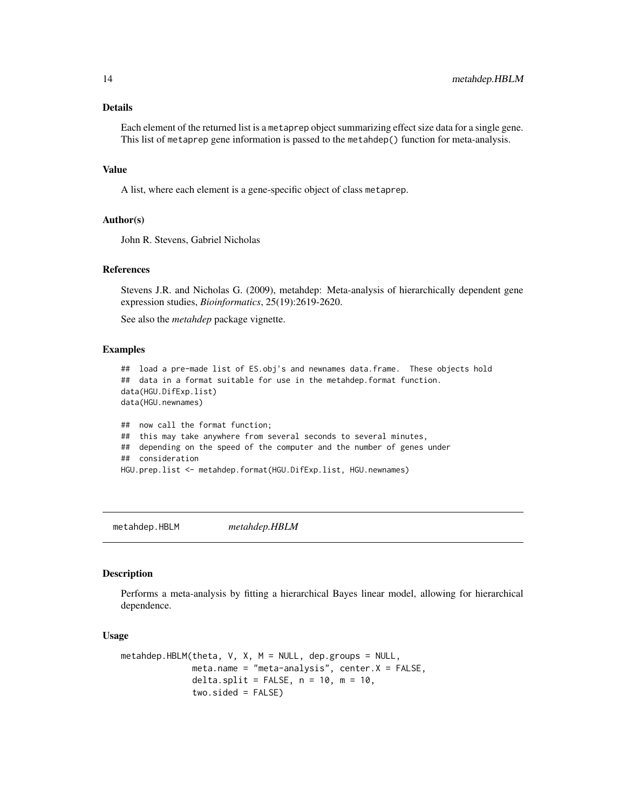#### Details

Each element of the returned list is a metaprep object summarizing effect size data for a single gene. This list of metaprep gene information is passed to the metahdep() function for meta-analysis.

#### Value

A list, where each element is a gene-specific object of class metaprep.

#### Author(s)

John R. Stevens, Gabriel Nicholas

#### References

Stevens J.R. and Nicholas G. (2009), metahdep: Meta-analysis of hierarchically dependent gene expression studies, *Bioinformatics*, 25(19):2619-2620.

See also the *metahdep* package vignette.

#### Examples

```
## load a pre-made list of ES.obj's and newnames data.frame. These objects hold
## data in a format suitable for use in the metahdep.format function.
data(HGU.DifExp.list)
data(HGU.newnames)
## now call the format function;
## this may take anywhere from several seconds to several minutes,
## depending on the speed of the computer and the number of genes under
## consideration
HGU.prep.list <- metahdep.format(HGU.DifExp.list, HGU.newnames)
```
metahdep.HBLM *metahdep.HBLM*

#### Description

Performs a meta-analysis by fitting a hierarchical Bayes linear model, allowing for hierarchical dependence.

#### Usage

```
metahdep.HBLM(theta, V, X, M = NULL, dep.groups = NULL,
              meta.name = "meta-analysis", center.X = FALSE,
              delta.split = FALSE, n = 10, m = 10,
              two.sided = FALSE)
```
<span id="page-13-0"></span>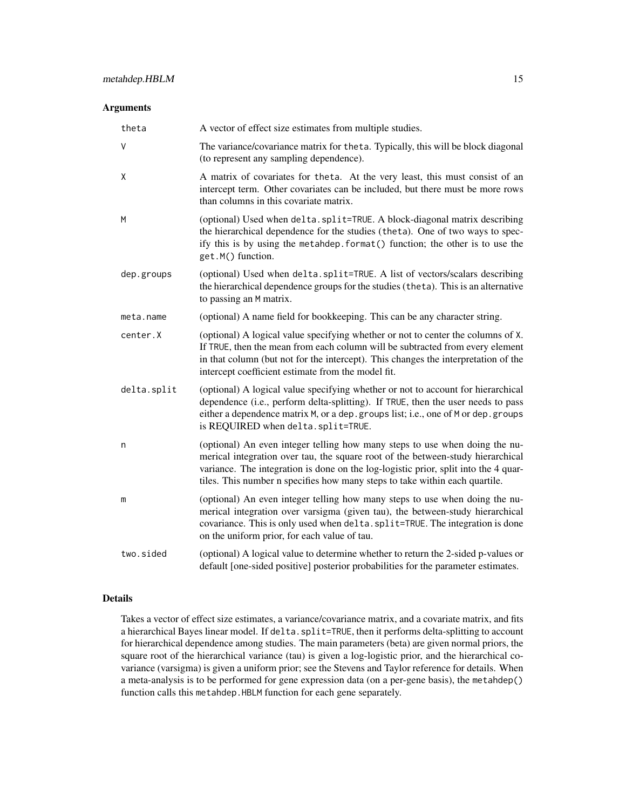#### Arguments

| theta       | A vector of effect size estimates from multiple studies.                                                                                                                                                                                                                                                                             |
|-------------|--------------------------------------------------------------------------------------------------------------------------------------------------------------------------------------------------------------------------------------------------------------------------------------------------------------------------------------|
| $\vee$      | The variance/covariance matrix for the ta. Typically, this will be block diagonal<br>(to represent any sampling dependence).                                                                                                                                                                                                         |
| X           | A matrix of covariates for theta. At the very least, this must consist of an<br>intercept term. Other covariates can be included, but there must be more rows<br>than columns in this covariate matrix.                                                                                                                              |
| M           | (optional) Used when delta.split=TRUE. A block-diagonal matrix describing<br>the hierarchical dependence for the studies (theta). One of two ways to spec-<br>ify this is by using the metahdep. format() function; the other is to use the<br>get.M() function.                                                                     |
| dep.groups  | (optional) Used when delta.split=TRUE. A list of vectors/scalars describing<br>the hierarchical dependence groups for the studies (theta). This is an alternative<br>to passing an M matrix.                                                                                                                                         |
| meta.name   | (optional) A name field for bookkeeping. This can be any character string.                                                                                                                                                                                                                                                           |
| center.X    | (optional) A logical value specifying whether or not to center the columns of X.<br>If TRUE, then the mean from each column will be subtracted from every element<br>in that column (but not for the intercept). This changes the interpretation of the<br>intercept coefficient estimate from the model fit.                        |
| delta.split | (optional) A logical value specifying whether or not to account for hierarchical<br>dependence (i.e., perform delta-splitting). If TRUE, then the user needs to pass<br>either a dependence matrix M, or a dep. groups list; i.e., one of M or dep. groups<br>is REQUIRED when delta.split=TRUE.                                     |
| n           | (optional) An even integer telling how many steps to use when doing the nu-<br>merical integration over tau, the square root of the between-study hierarchical<br>variance. The integration is done on the log-logistic prior, split into the 4 quar-<br>tiles. This number n specifies how many steps to take within each quartile. |
| m           | (optional) An even integer telling how many steps to use when doing the nu-<br>merical integration over varsigma (given tau), the between-study hierarchical<br>covariance. This is only used when delta. split=TRUE. The integration is done<br>on the uniform prior, for each value of tau.                                        |
| two.sided   | (optional) A logical value to determine whether to return the 2-sided p-values or<br>default [one-sided positive] posterior probabilities for the parameter estimates.                                                                                                                                                               |

#### Details

Takes a vector of effect size estimates, a variance/covariance matrix, and a covariate matrix, and fits a hierarchical Bayes linear model. If delta.split=TRUE, then it performs delta-splitting to account for hierarchical dependence among studies. The main parameters (beta) are given normal priors, the square root of the hierarchical variance (tau) is given a log-logistic prior, and the hierarchical covariance (varsigma) is given a uniform prior; see the Stevens and Taylor reference for details. When a meta-analysis is to be performed for gene expression data (on a per-gene basis), the metahdep() function calls this metahdep.HBLM function for each gene separately.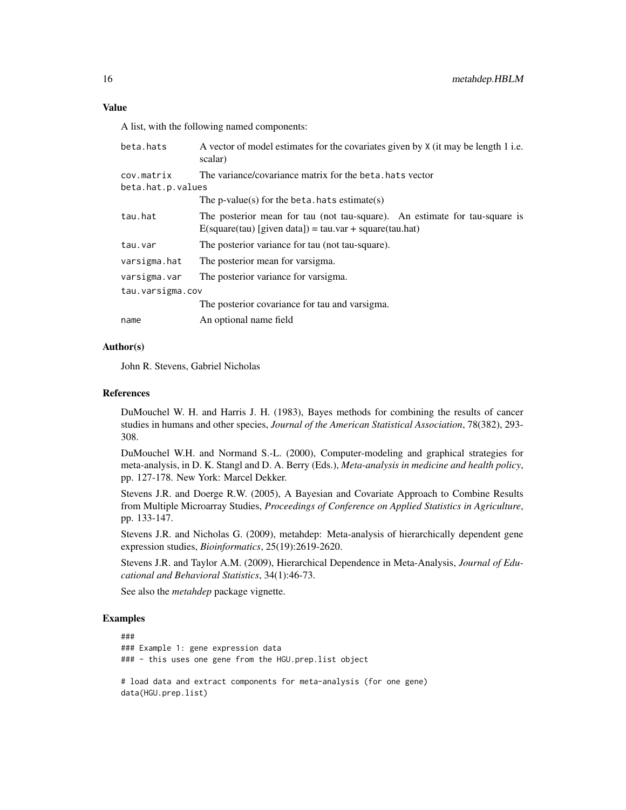A list, with the following named components:

| beta.hats                       | A vector of model estimates for the covariates given by X (it may be length 1 i.e.<br>scalar)                                            |  |
|---------------------------------|------------------------------------------------------------------------------------------------------------------------------------------|--|
| cov.matrix<br>beta.hat.p.values | The variance/covariance matrix for the beta, hats vector                                                                                 |  |
|                                 | The $p$ -value $(s)$ for the beta. hats estimate $(s)$                                                                                   |  |
| tau.hat                         | The posterior mean for tau (not tau-square). An estimate for tau-square is<br>$E$ (square(tau) [given data]) = tau.var + square(tau.hat) |  |
| tau.var                         | The posterior variance for tau (not tau-square).                                                                                         |  |
| varsigma.hat                    | The posterior mean for varsigma.                                                                                                         |  |
| varsigma.var                    | The posterior variance for varsigma.                                                                                                     |  |
| tau.varsigma.cov                |                                                                                                                                          |  |
|                                 | The posterior covariance for tau and varsigma.                                                                                           |  |
| name                            | An optional name field                                                                                                                   |  |

#### Author(s)

John R. Stevens, Gabriel Nicholas

#### References

DuMouchel W. H. and Harris J. H. (1983), Bayes methods for combining the results of cancer studies in humans and other species, *Journal of the American Statistical Association*, 78(382), 293- 308.

DuMouchel W.H. and Normand S.-L. (2000), Computer-modeling and graphical strategies for meta-analysis, in D. K. Stangl and D. A. Berry (Eds.), *Meta-analysis in medicine and health policy*, pp. 127-178. New York: Marcel Dekker.

Stevens J.R. and Doerge R.W. (2005), A Bayesian and Covariate Approach to Combine Results from Multiple Microarray Studies, *Proceedings of Conference on Applied Statistics in Agriculture*, pp. 133-147.

Stevens J.R. and Nicholas G. (2009), metahdep: Meta-analysis of hierarchically dependent gene expression studies, *Bioinformatics*, 25(19):2619-2620.

Stevens J.R. and Taylor A.M. (2009), Hierarchical Dependence in Meta-Analysis, *Journal of Educational and Behavioral Statistics*, 34(1):46-73.

See also the *metahdep* package vignette.

```
###
### Example 1: gene expression data
### - this uses one gene from the HGU.prep.list object
# load data and extract components for meta-analysis (for one gene)
data(HGU.prep.list)
```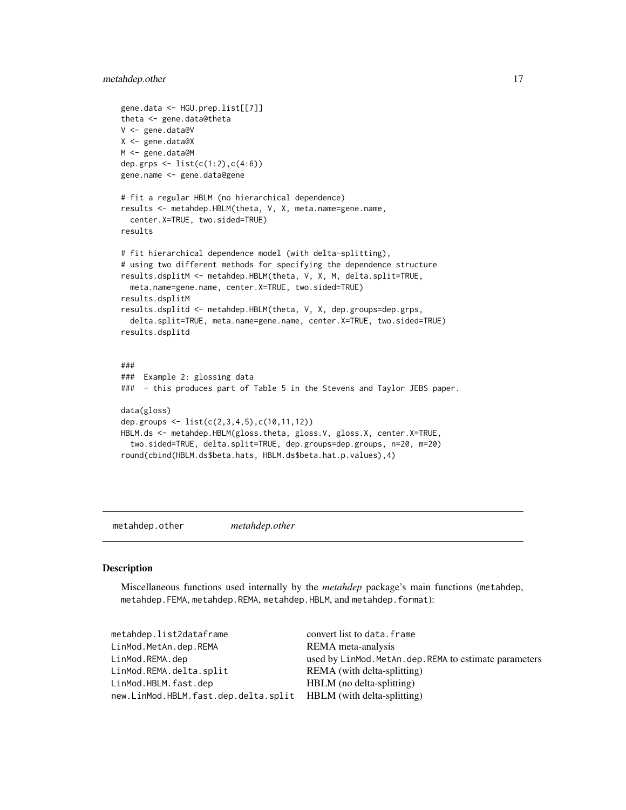#### <span id="page-16-0"></span>metahdep.other 17

```
gene.data <- HGU.prep.list[[7]]
theta <- gene.data@theta
V <- gene.data@V
X <- gene.data@X
M <- gene.data@M
dep.grps <- list(c(1:2),c(4:6))
gene.name <- gene.data@gene
# fit a regular HBLM (no hierarchical dependence)
results <- metahdep.HBLM(theta, V, X, meta.name=gene.name,
  center.X=TRUE, two.sided=TRUE)
results
# fit hierarchical dependence model (with delta-splitting),
# using two different methods for specifying the dependence structure
results.dsplitM <- metahdep.HBLM(theta, V, X, M, delta.split=TRUE,
  meta.name=gene.name, center.X=TRUE, two.sided=TRUE)
results.dsplitM
results.dsplitd <- metahdep.HBLM(theta, V, X, dep.groups=dep.grps,
  delta.split=TRUE, meta.name=gene.name, center.X=TRUE, two.sided=TRUE)
results.dsplitd
###
### Example 2: glossing data
### - this produces part of Table 5 in the Stevens and Taylor JEBS paper.
data(gloss)
dep.groups <- list(c(2,3,4,5),c(10,11,12))
HBLM.ds <- metahdep.HBLM(gloss.theta, gloss.V, gloss.X, center.X=TRUE,
  two.sided=TRUE, delta.split=TRUE, dep.groups=dep.groups, n=20, m=20)
round(cbind(HBLM.ds$beta.hats, HBLM.ds$beta.hat.p.values),4)
```
metahdep.other *metahdep.other*

#### Description

Miscellaneous functions used internally by the *metahdep* package's main functions (metahdep, metahdep.FEMA, metahdep.REMA, metahdep.HBLM, and metahdep.format):

| metahdep.list2dataframe                                          | convert list to data. frame                             |
|------------------------------------------------------------------|---------------------------------------------------------|
| LinMod.MetAn.dep.REMA                                            | REMA meta-analysis                                      |
| LinMod.REMA.dep                                                  | used by LinMod. MetAn. dep. REMA to estimate parameters |
| LinMod.REMA.delta.split                                          | REMA (with delta-splitting)                             |
| LinMod.HBLM.fast.dep                                             | HBLM (no delta-splitting)                               |
| new.LinMod.HBLM.fast.dep.delta.split HBLM (with delta-splitting) |                                                         |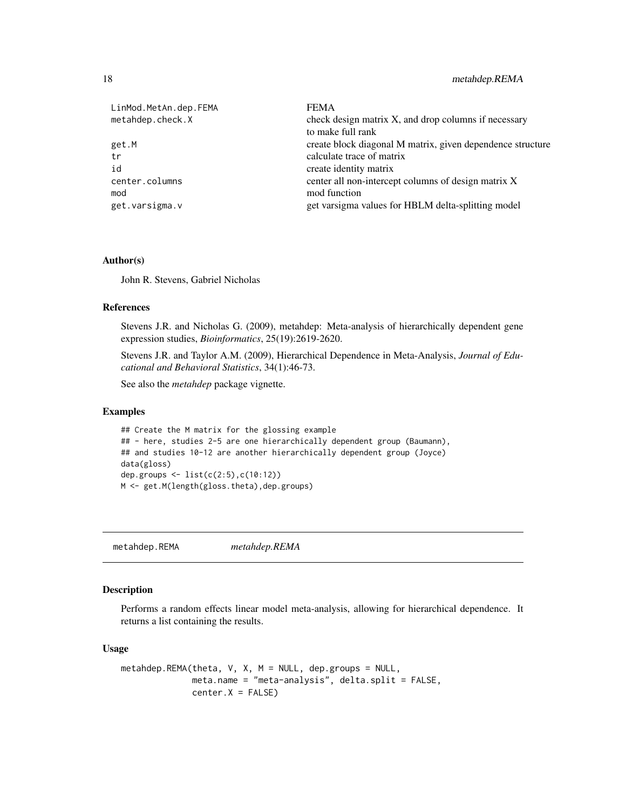| LinMod.MetAn.dep.FEMA | <b>FEMA</b>                                                |
|-----------------------|------------------------------------------------------------|
| metahdep.check.X      | check design matrix X, and drop columns if necessary       |
|                       | to make full rank                                          |
| get.M                 | create block diagonal M matrix, given dependence structure |
| tr                    | calculate trace of matrix                                  |
| id                    | create identity matrix                                     |
| center.columns        | center all non-intercept columns of design matrix X        |
| mod                   | mod function                                               |
| get.varsigma.v        | get varsigma values for HBLM delta-splitting model         |

#### Author(s)

John R. Stevens, Gabriel Nicholas

#### References

Stevens J.R. and Nicholas G. (2009), metahdep: Meta-analysis of hierarchically dependent gene expression studies, *Bioinformatics*, 25(19):2619-2620.

Stevens J.R. and Taylor A.M. (2009), Hierarchical Dependence in Meta-Analysis, *Journal of Educational and Behavioral Statistics*, 34(1):46-73.

See also the *metahdep* package vignette.

#### Examples

```
## Create the M matrix for the glossing example
## - here, studies 2-5 are one hierarchically dependent group (Baumann),
## and studies 10-12 are another hierarchically dependent group (Joyce)
data(gloss)
dep.groups <- list(c(2:5),c(10:12))
M <- get.M(length(gloss.theta),dep.groups)
```
metahdep.REMA *metahdep.REMA*

#### Description

Performs a random effects linear model meta-analysis, allowing for hierarchical dependence. It returns a list containing the results.

#### Usage

```
metahdep.REMA(theta, V, X, M = NULL, dep.groups = NULL,
             meta.name = "meta-analysis", delta.split = FALSE,
             center.X = FALSE)
```
<span id="page-17-0"></span>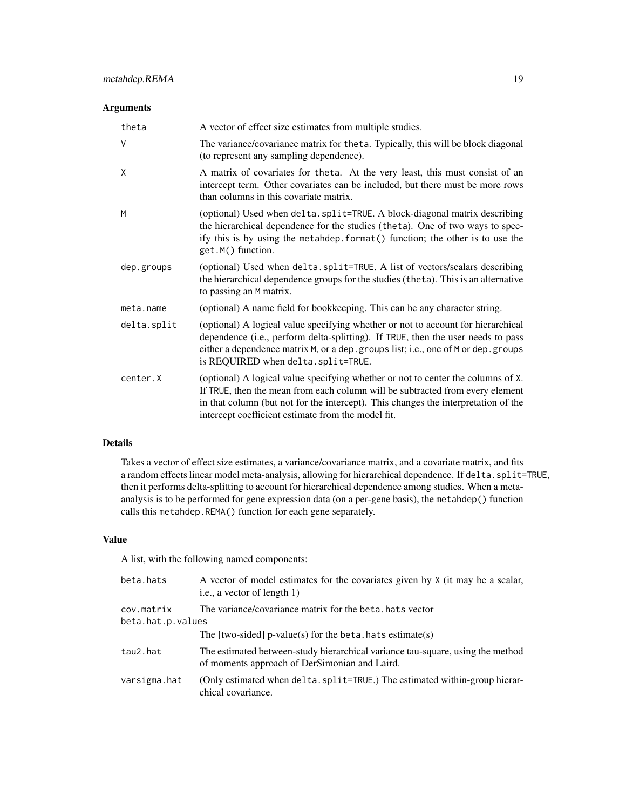#### Arguments

| theta       | A vector of effect size estimates from multiple studies.                                                                                                                                                                                                                                                      |
|-------------|---------------------------------------------------------------------------------------------------------------------------------------------------------------------------------------------------------------------------------------------------------------------------------------------------------------|
| $\vee$      | The variance/covariance matrix for the ta. Typically, this will be block diagonal<br>(to represent any sampling dependence).                                                                                                                                                                                  |
| X           | A matrix of covariates for the ta. At the very least, this must consist of an<br>intercept term. Other covariates can be included, but there must be more rows<br>than columns in this covariate matrix.                                                                                                      |
| M           | (optional) Used when delta.split=TRUE. A block-diagonal matrix describing<br>the hierarchical dependence for the studies (theta). One of two ways to spec-<br>ify this is by using the metahdep. format() function; the other is to use the<br>get.M() function.                                              |
| dep.groups  | (optional) Used when delta.split=TRUE. A list of vectors/scalars describing<br>the hierarchical dependence groups for the studies (theta). This is an alternative<br>to passing an M matrix.                                                                                                                  |
| meta.name   | (optional) A name field for bookkeeping. This can be any character string.                                                                                                                                                                                                                                    |
| delta.split | (optional) A logical value specifying whether or not to account for hierarchical<br>dependence (i.e., perform delta-splitting). If TRUE, then the user needs to pass<br>either a dependence matrix M, or a dep. groups list; i.e., one of M or dep. groups<br>is REQUIRED when delta.split=TRUE.              |
| center.X    | (optional) A logical value specifying whether or not to center the columns of X.<br>If TRUE, then the mean from each column will be subtracted from every element<br>in that column (but not for the intercept). This changes the interpretation of the<br>intercept coefficient estimate from the model fit. |

#### Details

Takes a vector of effect size estimates, a variance/covariance matrix, and a covariate matrix, and fits a random effects linear model meta-analysis, allowing for hierarchical dependence. If delta.split=TRUE, then it performs delta-splitting to account for hierarchical dependence among studies. When a metaanalysis is to be performed for gene expression data (on a per-gene basis), the metahdep() function calls this metahdep.REMA() function for each gene separately.

#### Value

A list, with the following named components:

| beta.hats                       | A vector of model estimates for the covariates given by X (it may be a scalar,<br>i.e., a vector of length 1)                   |
|---------------------------------|---------------------------------------------------------------------------------------------------------------------------------|
| cov.matrix<br>beta.hat.p.values | The variance/covariance matrix for the beta, hats vector                                                                        |
|                                 | The [two-sided] $p$ -value(s) for the beta. hats estimate(s)                                                                    |
| tau2.hat                        | The estimated between-study hierarchical variance tau-square, using the method<br>of moments approach of DerSimonian and Laird. |
| varsigma.hat                    | (Only estimated when delta. split=TRUE.) The estimated within-group hierar-<br>chical covariance.                               |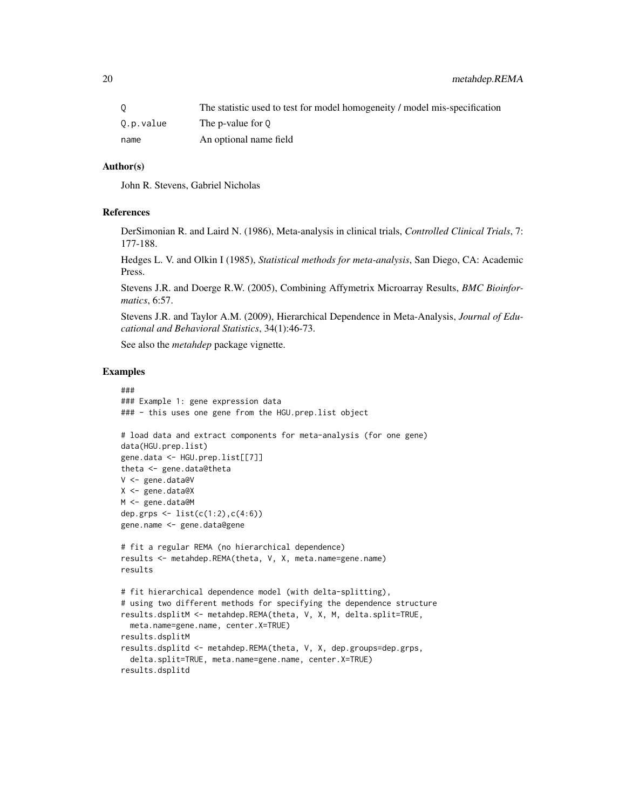|           | The statistic used to test for model homogeneity / model mis-specification |
|-----------|----------------------------------------------------------------------------|
| 0.p.value | The p-value for 0                                                          |
| name      | An optional name field                                                     |

#### Author(s)

John R. Stevens, Gabriel Nicholas

#### References

DerSimonian R. and Laird N. (1986), Meta-analysis in clinical trials, *Controlled Clinical Trials*, 7: 177-188.

Hedges L. V. and Olkin I (1985), *Statistical methods for meta-analysis*, San Diego, CA: Academic Press.

Stevens J.R. and Doerge R.W. (2005), Combining Affymetrix Microarray Results, *BMC Bioinformatics*, 6:57.

Stevens J.R. and Taylor A.M. (2009), Hierarchical Dependence in Meta-Analysis, *Journal of Educational and Behavioral Statistics*, 34(1):46-73.

See also the *metahdep* package vignette.

```
###
### Example 1: gene expression data
### - this uses one gene from the HGU.prep.list object
# load data and extract components for meta-analysis (for one gene)
data(HGU.prep.list)
gene.data <- HGU.prep.list[[7]]
theta <- gene.data@theta
V <- gene.data@V
X <- gene.data@X
M <- gene.data@M
dep.grps <- list(c(1:2),c(4:6))
gene.name <- gene.data@gene
# fit a regular REMA (no hierarchical dependence)
results <- metahdep.REMA(theta, V, X, meta.name=gene.name)
results
# fit hierarchical dependence model (with delta-splitting),
# using two different methods for specifying the dependence structure
results.dsplitM <- metahdep.REMA(theta, V, X, M, delta.split=TRUE,
  meta.name=gene.name, center.X=TRUE)
results.dsplitM
results.dsplitd <- metahdep.REMA(theta, V, X, dep.groups=dep.grps,
  delta.split=TRUE, meta.name=gene.name, center.X=TRUE)
results.dsplitd
```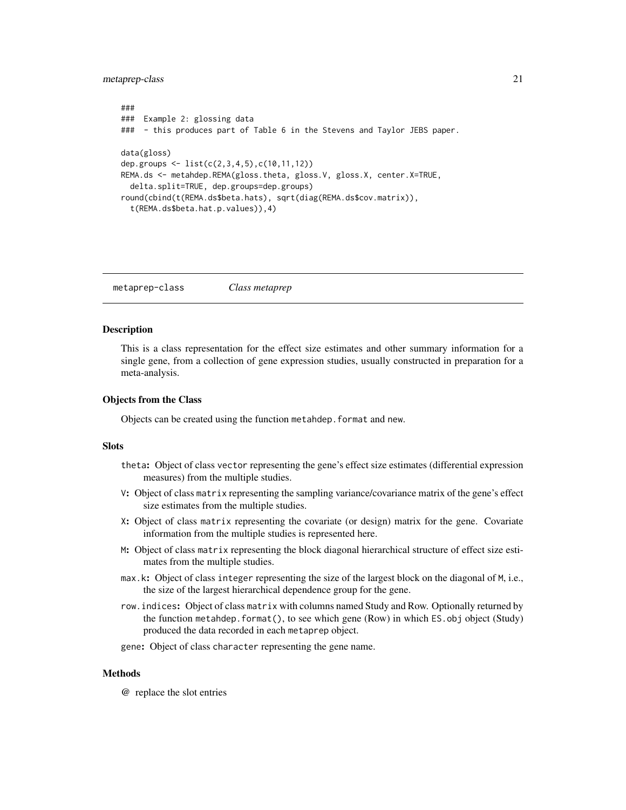<span id="page-20-0"></span>metaprep-class 21

```
###
### Example 2: glossing data
### - this produces part of Table 6 in the Stevens and Taylor JEBS paper.
data(gloss)
dep.groups <- list(c(2,3,4,5),c(10,11,12))
REMA.ds <- metahdep.REMA(gloss.theta, gloss.V, gloss.X, center.X=TRUE,
 delta.split=TRUE, dep.groups=dep.groups)
round(cbind(t(REMA.ds$beta.hats), sqrt(diag(REMA.ds$cov.matrix)),
  t(REMA.ds$beta.hat.p.values)),4)
```
metaprep-class *Class metaprep*

#### **Description**

This is a class representation for the effect size estimates and other summary information for a single gene, from a collection of gene expression studies, usually constructed in preparation for a meta-analysis.

#### Objects from the Class

Objects can be created using the function metahdep.format and new.

#### **Slots**

- theta: Object of class vector representing the gene's effect size estimates (differential expression measures) from the multiple studies.
- V: Object of class matrix representing the sampling variance/covariance matrix of the gene's effect size estimates from the multiple studies.
- X: Object of class matrix representing the covariate (or design) matrix for the gene. Covariate information from the multiple studies is represented here.
- M: Object of class matrix representing the block diagonal hierarchical structure of effect size estimates from the multiple studies.
- max.k: Object of class integer representing the size of the largest block on the diagonal of M, i.e., the size of the largest hierarchical dependence group for the gene.
- row.indices: Object of class matrix with columns named Study and Row. Optionally returned by the function metahdep.format(), to see which gene (Row) in which ES.obj object (Study) produced the data recorded in each metaprep object.
- gene: Object of class character representing the gene name.

#### **Methods**

@ replace the slot entries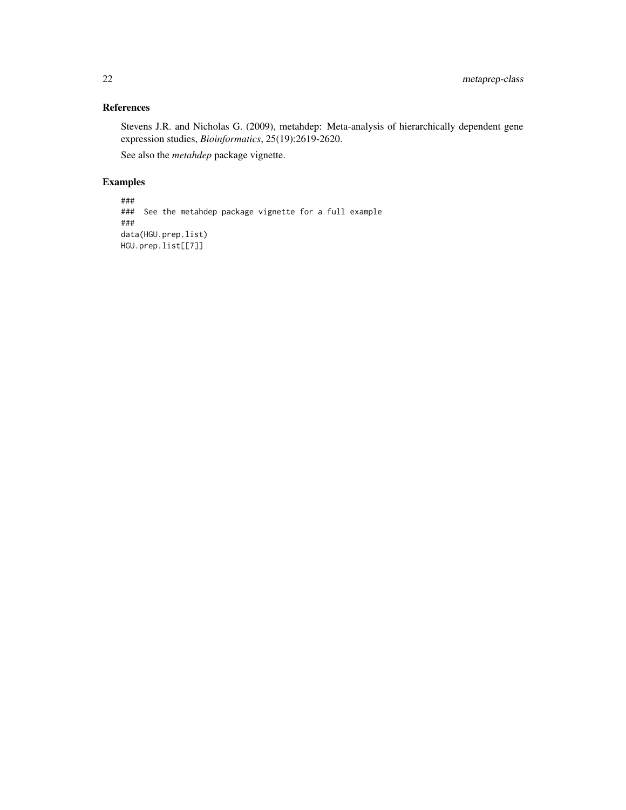#### References

Stevens J.R. and Nicholas G. (2009), metahdep: Meta-analysis of hierarchically dependent gene expression studies, *Bioinformatics*, 25(19):2619-2620.

See also the *metahdep* package vignette.

```
###
### See the metahdep package vignette for a full example
###
data(HGU.prep.list)
HGU.prep.list[[7]]
```